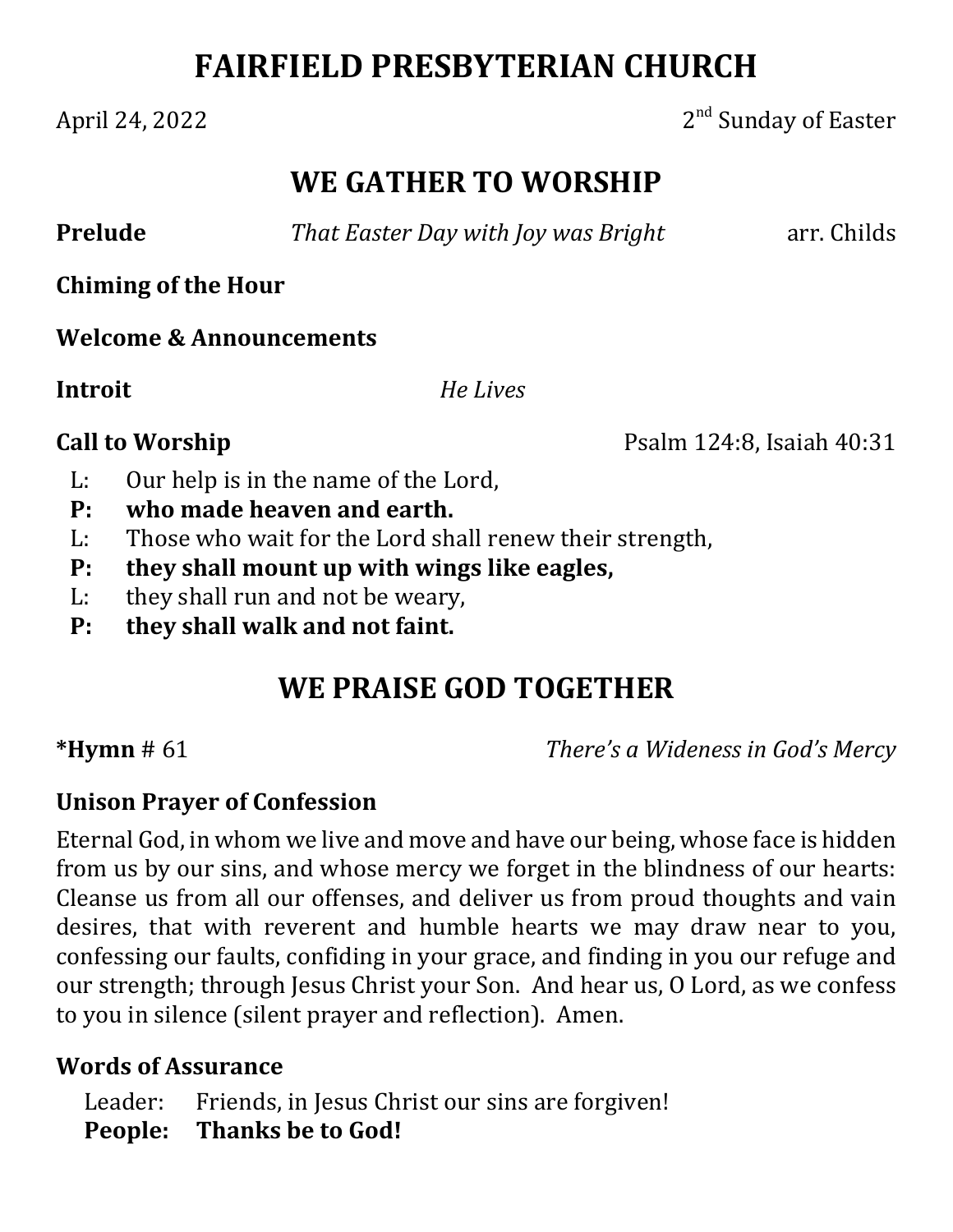# **FAIRFIELD PRESBYTERIAN CHURCH**

April 24, 2022  $2<sup>nd</sup>$  Sunday of Easter

## **WE GATHER TO WORSHIP**

**Prelude** *<i>That Easter Day with Joy was Bright* arr. Childs

**Chiming of the Hour**

**Welcome & Announcements**

**Introit**  *He Lives*

**Call to Worship** Psalm 124:8, Isaiah 40:31

- L: Our help is in the name of the Lord,
- **P: who made heaven and earth.**
- L: Those who wait for the Lord shall renew their strength,
- **P: they shall mount up with wings like eagles,**
- L: they shall run and not be weary,
- **P: they shall walk and not faint.**

# **WE PRAISE GOD TOGETHER**

**\*Hymn** # 61 *There's a Wideness in God's Mercy*

### **Unison Prayer of Confession**

Eternal God, in whom we live and move and have our being, whose face is hidden from us by our sins, and whose mercy we forget in the blindness of our hearts: Cleanse us from all our offenses, and deliver us from proud thoughts and vain desires, that with reverent and humble hearts we may draw near to you, confessing our faults, confiding in your grace, and finding in you our refuge and our strength; through Jesus Christ your Son. And hear us, O Lord, as we confess to you in silence (silent prayer and reflection). Amen.

### **Words of Assurance**

Leader: Friends, in Jesus Christ our sins are forgiven! **People: Thanks be to God!**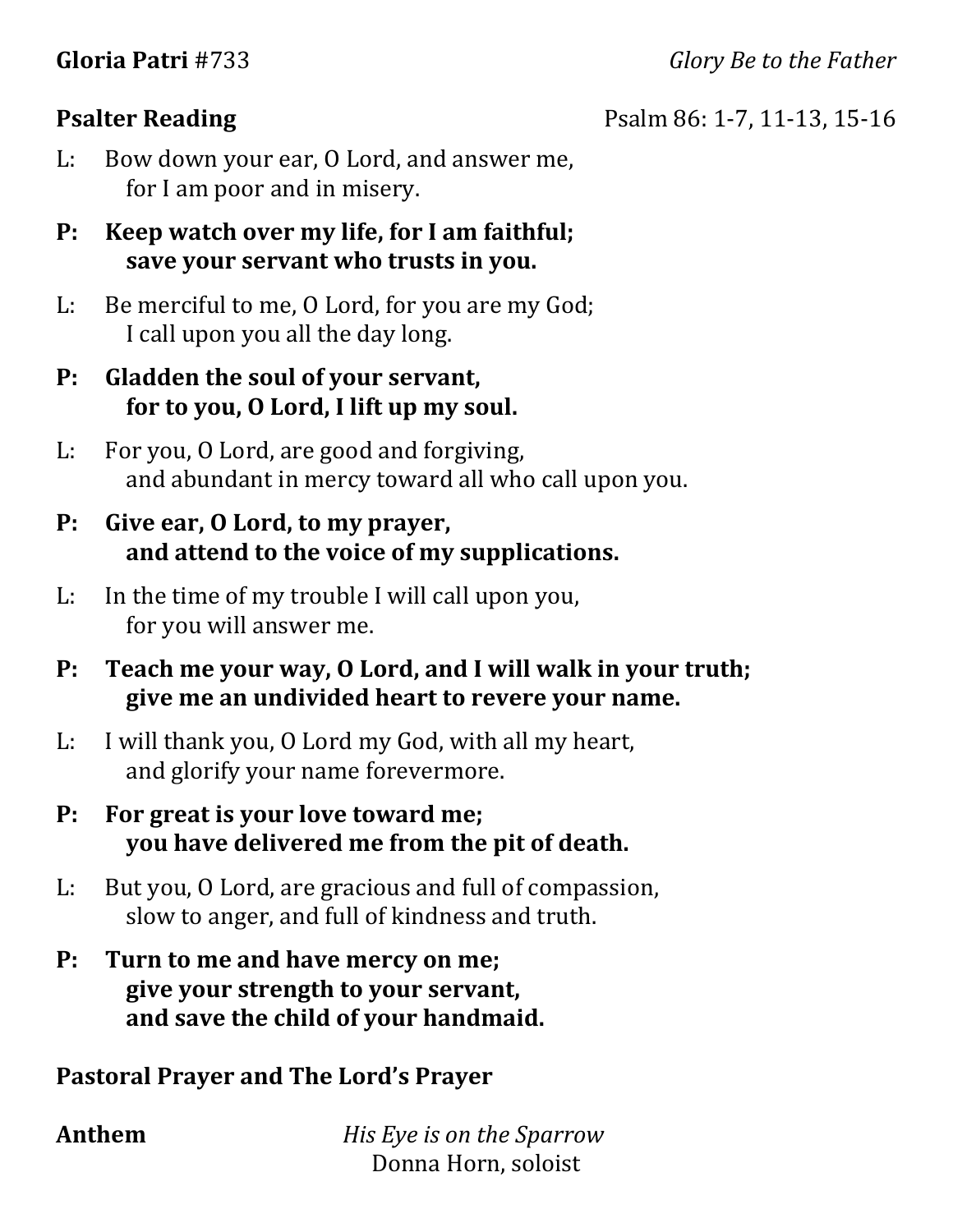**Gloria Patri** #733 *Glory Be to the Father*

**Psalter Reading** Psalm 86: 1-7, 11-13, 15-16

L: Bow down your ear, O Lord, and answer me, for I am poor and in misery.

#### **P:** Keep watch over my life, for I am faithful; **save your servant who trusts in you.**

L: Be merciful to me, O Lord, for you are my God; I call upon you all the day long.

#### **P: Gladden the soul of your servant, for to you, O Lord, I lift up my soul.**

L: For you, O Lord, are good and forgiving, and abundant in mercy toward all who call upon you.

#### **P: Give ear, O Lord, to my prayer, and attend to the voice of my supplications.**

L: In the time of my trouble I will call upon you, for you will answer me.

#### **P: Teach me your way, O Lord, and I will walk in your truth; give me an undivided heart to revere your name.**

L: I will thank you, O Lord my God, with all my heart, and glorify your name forevermore.

#### **P: For great is your love toward me; you have delivered me from the pit of death.**

L: But you, O Lord, are gracious and full of compassion, slow to anger, and full of kindness and truth.

#### **P:** Turn to me and have mercy on me; **give your strength to your servant, and save the child of your handmaid.**

#### **Pastoral Prayer and The Lord's Prayer**

**Anthem**  *His Eye is on the Sparrow* Donna Horn, soloist